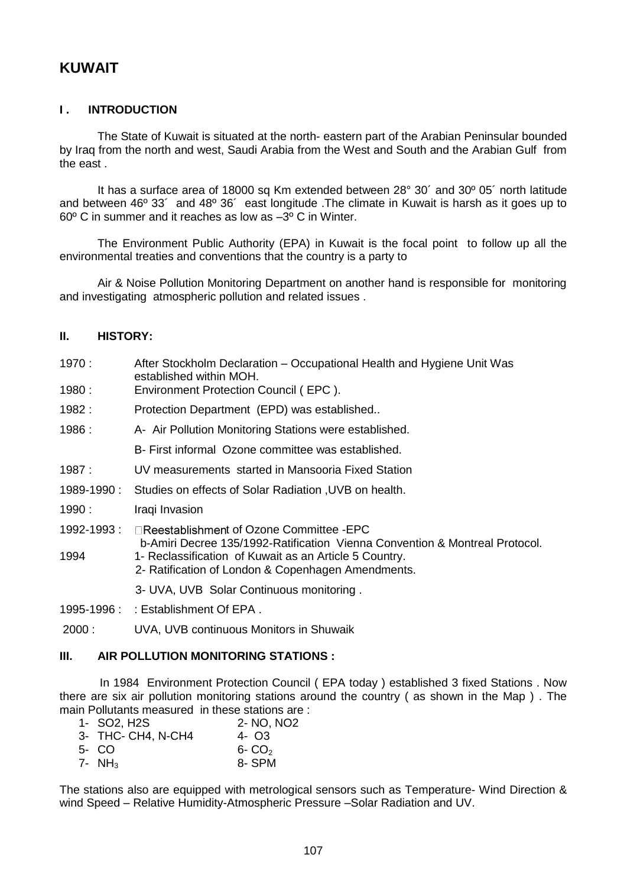# **KUWAIT**

# **I . INTRODUCTION**

The State of Kuwait is situated at the north- eastern part of the Arabian Peninsular bounded by Iraq from the north and west, Saudi Arabia from the West and South and the Arabian Gulf from the east .

It has a surface area of 18000 sq Km extended between 28° 30´ and 30º 05´ north latitude and between 46º 33´ and 48º 36´ east longitude .The climate in Kuwait is harsh as it goes up to 60º C in summer and it reaches as low as –3º C in Winter.

The Environment Public Authority (EPA) in Kuwait is the focal point to follow up all the environmental treaties and conventions that the country is a party to

Air & Noise Pollution Monitoring Department on another hand is responsible for monitoring and investigating atmospheric pollution and related issues .

## **II. HISTORY:**

- 1970 : After Stockholm Declaration Occupational Health and Hygiene Unit Was established within MOH.
- 1980 : Environment Protection Council ( EPC ).
- 1982 : Protection Department (EPD) was established..
- 1986 : A- Air Pollution Monitoring Stations were established.
	- B- First informal Ozone committee was established.
- 1987 : UV measurements started in Mansooria Fixed Station
- 1989-1990 : Studies on effects of Solar Radiation ,UVB on health.
- 1990 : Iraqi Invasion
- 1992-1993 :  $\Box$ Reestablishment of Ozone Committee -EPC b-Amiri Decree 135/1992-Ratification Vienna Convention & Montreal Protocol.
- 1994 1- Reclassification of Kuwait as an Article 5 Country. 2- Ratification of London & Copenhagen Amendments.
	- 3- UVA, UVB Solar Continuous monitoring .
- 1995-1996 : : Establishment Of EPA .
- 2000 : UVA, UVB continuous Monitors in Shuwaik

## **III. AIR POLLUTION MONITORING STATIONS :**

In 1984 Environment Protection Council ( EPA today ) established 3 fixed Stations . Now there are six air pollution monitoring stations around the country ( as shown in the Map ) . The main Pollutants measured in these stations are :

| 1- SO2, H2S        | 2- NO, NO <sub>2</sub> |
|--------------------|------------------------|
| 3- THC- CH4, N-CH4 | 4- Q3                  |
| 5- CO              | $6 - CO2$              |
| 7- NH <sub>3</sub> | 8-SPM                  |

The stations also are equipped with metrological sensors such as Temperature- Wind Direction & wind Speed – Relative Humidity-Atmospheric Pressure –Solar Radiation and UV.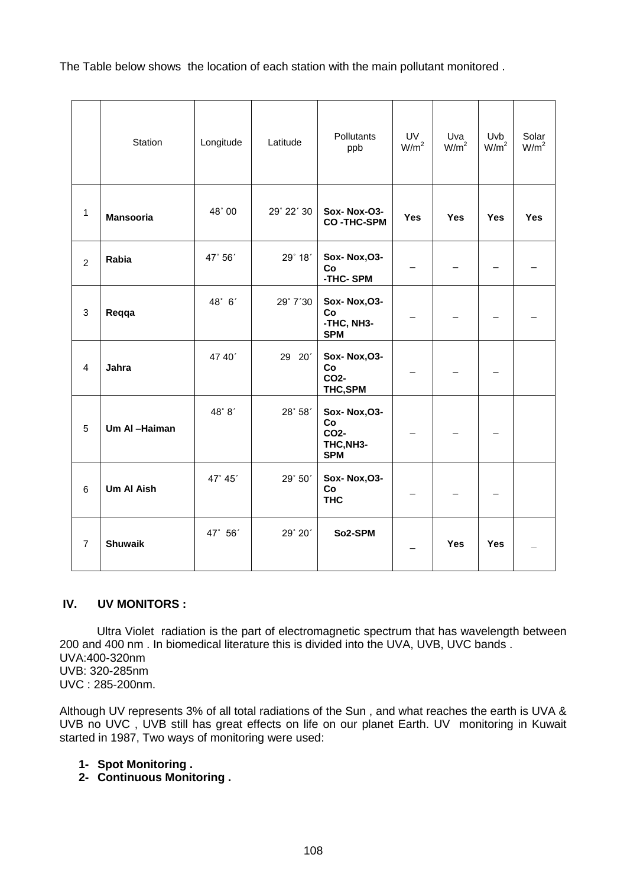The Table below shows the location of each station with the main pollutant monitored .

|                | Station           | Longitude | Latitude   | Pollutants<br>ppb                                     | UV<br>W/m <sup>2</sup> | Uva<br>W/m <sup>2</sup>  | Uvb<br>W/m <sup>2</sup>  | Solar<br>W/m <sup>2</sup> |
|----------------|-------------------|-----------|------------|-------------------------------------------------------|------------------------|--------------------------|--------------------------|---------------------------|
| $\mathbf{1}$   | <b>Mansooria</b>  | 48° 00    | 29° 22' 30 | <b>Sox-Nox-O3-</b><br><b>CO-THC-SPM</b>               | <b>Yes</b>             | <b>Yes</b>               | <b>Yes</b>               | <b>Yes</b>                |
| $\overline{2}$ | Rabia             | 47° 56'   | 29° 18'    | Sox-Nox, O3-<br>Co<br>-THC-SPM                        |                        |                          | —                        |                           |
| 3              | Reqqa             | 48° 6'    | 29° 7'30   | <b>Sox-Nox, O3-</b><br>Co<br>-THC, NH3-<br><b>SPM</b> |                        |                          |                          |                           |
| 4              | Jahra             | 47 40'    | 29 20'     | Sox-Nox, O3-<br>Co<br>CO2-<br>THC,SPM                 |                        | $\overline{\phantom{0}}$ | $\overline{\phantom{0}}$ |                           |
| 5              | Um Al-Haiman      | 48°8'     | 28° 58'    | Sox-Nox, O3-<br>Co<br>CO2-<br>THC, NH3-<br><b>SPM</b> |                        |                          |                          |                           |
| 6              | <b>Um Al Aish</b> | 47° 45'   | 29° 50'    | <b>Sox-Nox, O3-</b><br>Co<br><b>THC</b>               |                        | $\overline{\phantom{0}}$ | $\equiv$                 |                           |
| $\overline{7}$ | <b>Shuwaik</b>    | 47° 56'   | 29° 20'    | So2-SPM                                               |                        | <b>Yes</b>               | <b>Yes</b>               |                           |

# **IV. UV MONITORS :**

Ultra Violet radiation is the part of electromagnetic spectrum that has wavelength between 200 and 400 nm . In biomedical literature this is divided into the UVA, UVB, UVC bands . UVA:400-320nm UVB: 320-285nm UVC : 285-200nm.

Although UV represents 3% of all total radiations of the Sun , and what reaches the earth is UVA & UVB no UVC, UVB still has great effects on life on our planet Earth. UV monitoring in Kuwait started in 1987, Two ways of monitoring were used:

# **1- Spot Monitoring .**

**2- Continuous Monitoring .**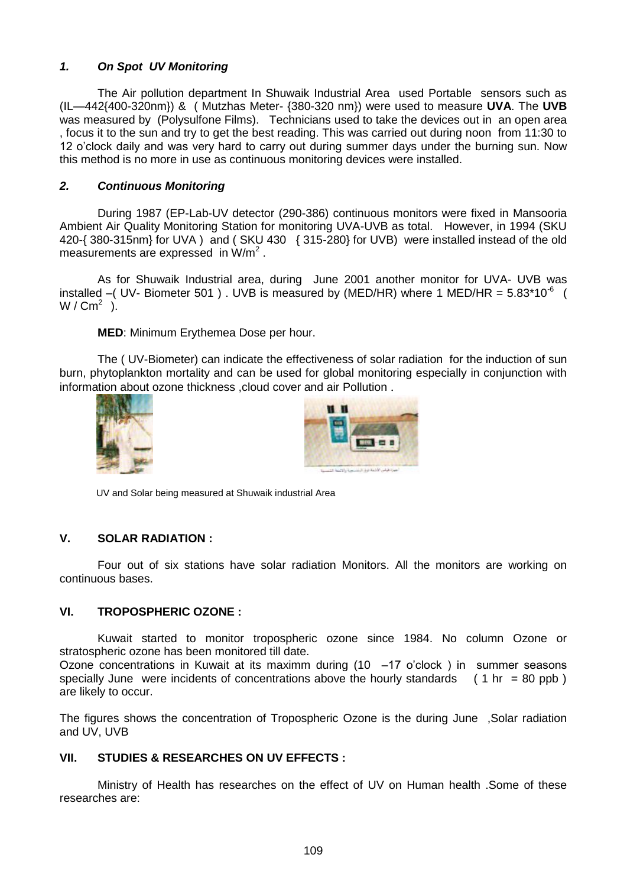# *1. On Spot UV Monitoring*

The Air pollution department In Shuwaik Industrial Area used Portable sensors such as (IL—442{400-320nm}) & ( Mutzhas Meter- {380-320 nm}) were used to measure **UVA**. The **UVB** was measured by (Polysulfone Films). Technicians used to take the devices out in an open area , focus it to the sun and try to get the best reading. This was carried out during noon from 11:30 to 12 o'clock daily and was very hard to carry out during summer days under the burning sun. Now this method is no more in use as continuous monitoring devices were installed.

## *2. Continuous Monitoring*

During 1987 (EP-Lab-UV detector (290-386) continuous monitors were fixed in Mansooria Ambient Air Quality Monitoring Station for monitoring UVA-UVB as total. However, in 1994 (SKU 420-{ 380-315nm} for UVA ) and ( SKU 430 { 315-280} for UVB) were installed instead of the old measurements are expressed in  $W/m^2$ .

As for Shuwaik Industrial area, during June 2001 another monitor for UVA- UVB was installed –( UV- Biometer 501). UVB is measured by (MED/HR) where 1 MED/HR =  $5.83*10^{-6}$  ( W /  $\textsf{Cm}^2$  ).

**MED**: Minimum Erythemea Dose per hour.

The ( UV-Biometer) can indicate the effectiveness of solar radiation for the induction of sun burn, phytoplankton mortality and can be used for global monitoring especially in conjunction with information about ozone thickness ,cloud cover and air Pollution .





UV and Solar being measured at Shuwaik industrial Area

## **V. SOLAR RADIATION :**

Four out of six stations have solar radiation Monitors. All the monitors are working on continuous bases.

## **VI. TROPOSPHERIC OZONE :**

Kuwait started to monitor tropospheric ozone since 1984. No column Ozone or stratospheric ozone has been monitored till date.

Ozone concentrations in Kuwait at its maximm during  $(10 -17)$  o'clock) in summer seasons specially June were incidents of concentrations above the hourly standards  $(1 \text{ hr} = 80 \text{ ppb})$ are likely to occur.

The figures shows the concentration of Tropospheric Ozone is the during June ,Solar radiation and UV, UVB

#### **VII. STUDIES & RESEARCHES ON UV EFFECTS :**

Ministry of Health has researches on the effect of UV on Human health .Some of these researches are: